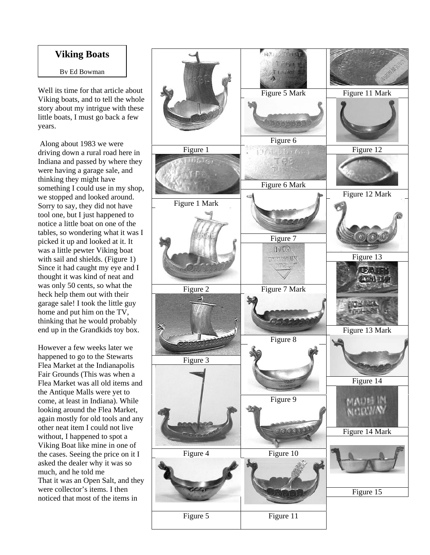## **Viking Boats**

By Ed Bowman

Well its time for that article about Viking boats, and to tell the whole story about my intrigue with these little boats, I must go back a few years.

 Along about 1983 we were driving down a rural road here in Indiana and passed by where they were having a garage sale, and thinking they might have something I could use in my shop, we stopped and looked around. Sorry to say, they did not have tool one, but I just happened to notice a little boat on one of the tables, so wondering what it was I picked it up and looked at it. It was a little pewter Viking boat with sail and shields. (Figure 1) Since it had caught my eye and I thought it was kind of neat and was only 50 cents, so what the heck help them out with their garage sale! I took the little guy home and put him on the TV, thinking that he would probably end up in the Grandkids toy box.

However a few weeks later we happened to go to the Stewarts Flea Market at the Indianapolis Fair Grounds (This was when a Flea Market was all old items and the Antique Malls were yet to come, at least in Indiana). While looking around the Flea Market, again mostly for old tools and any other neat item I could not live without, I happened to spot a Viking Boat like mine in one of the cases. Seeing the price on it I asked the dealer why it was so much, and he told me That it was an Open Salt, and they were collector's items. I then noticed that most of the items in

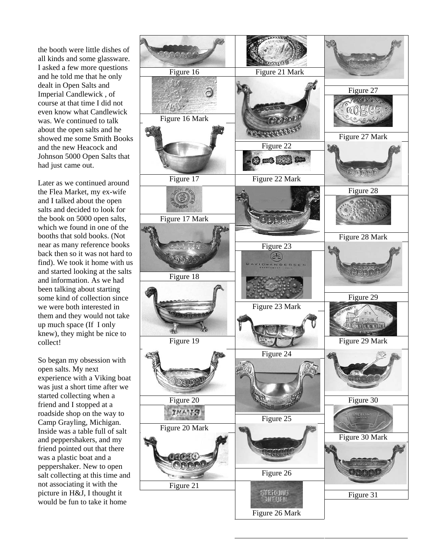the booth were little dishes of all kinds and some glassware. I asked a few more questions and he told me that he only dealt in Open Salts and Imperial Candlewick , of course at that time I did not even know what Candlewick was. We continued to talk about the open salts and he showed me some Smith Books and the new Heacock and Johnson 5000 Open Salts that had just came out.

Later as we continued around the Flea Market, my ex-wife and I talked about the open salts and decided to look for the book on 5000 open salts, which we found in one of the booths that sold books. (Not near as many reference books back then so it was not hard to find). We took it home with us and started looking at the salts and information. As we had been talking about starting some kind of collection since we were both interested in them and they would not take up much space (If I only knew), they might be nice to collect!

So began my obsession with open salts. My next experience with a Viking boat was just a short time after we started collecting when a friend and I stopped at a roadside shop on the way to Camp Grayling, Michigan. Inside was a table full of salt and peppershakers, and my friend pointed out that there was a plastic boat and a peppershaker. New to open salt collecting at this time and not associating it with the picture in H&J, I thought it would be fun to take it home

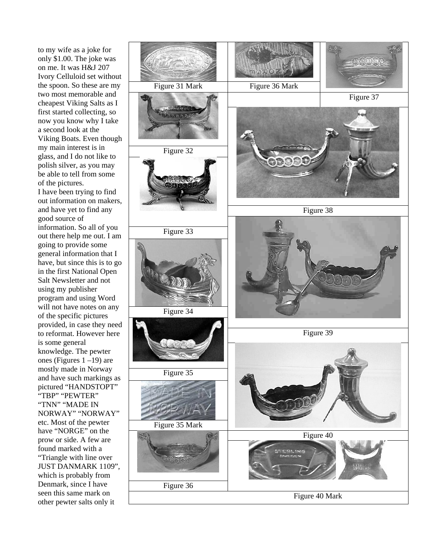to my wife as a joke for only \$1.00. The joke was on me. It was H&J 207 Ivory Celluloid set without the spoon. So these are my two most memorable and cheapest Viking Salts as I first started collecting, so now you know why I take a second look at the Viking Boats. Even though my main interest is in glass, and I do not like to polish silver, as you may be able to tell from some of the pictures. I have been trying to find out information on makers, and have yet to find any good source of information. So all of you out there help me out. I am going to provide some general information that I have, but since this is to go in the first National Open Salt Newsletter and not using my publisher program and using Word will not have notes on any of the specific pictures provided, in case they need to reformat. However here is some general knowledge. The pewter ones (Figures 1 –19) are mostly made in Norway and have such markings as pictured "HANDSTOPT" "TBP" "PEWTER" "TNN" "MADE IN NORWAY" "NORWAY" etc. Most of the pewter have "NORGE" on the prow or side. A few are found marked with a "Triangle with line over JUST DANMARK 1109", which is probably from Denmark, since I have seen this same mark on other pewter salts only it

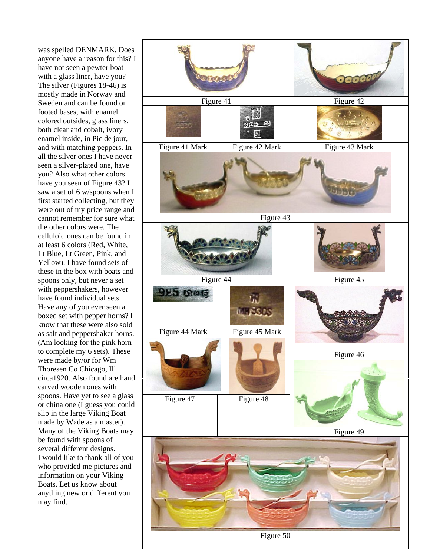was spelled DENMARK. Does anyone have a reason for this? I have not seen a pewter boat with a glass liner, have you? The silver (Figures 18-46) is mostly made in Norway and Sweden and can be found on footed bases, with enamel colored outsides, glass liners, both clear and cobalt, ivory enamel inside, in Pic de jour, and with matching peppers. In all the silver ones I have never seen a silver-plated one, have you? Also what other colors have you seen of Figure 43? I saw a set of 6 w/spoons when I first started collecting, but they were out of my price range and cannot remember for sure what the other colors were. The celluloid ones can be found in at least 6 colors (Red, White, Lt Blue, Lt Green, Pink, and Yellow). I have found sets of these in the box with boats and spoons only, but never a set with peppershakers, however have found individual sets. Have any of you ever seen a boxed set with pepper horns? I know that these were also sold as salt and peppershaker horns. (Am looking for the pink horn to complete my 6 sets). These were made by/or for Wm Thoresen Co Chicago, Ill circa1920. Also found are hand carved wooden ones with spoons. Have yet to see a glass or china one (I guess you could slip in the large Viking Boat made by Wade as a master). Many of the Viking Boats may be found with spoons of several different designs. I would like to thank all of you who provided me pictures and information on your Viking Boats. Let us know about anything new or different you may find.



Figure 50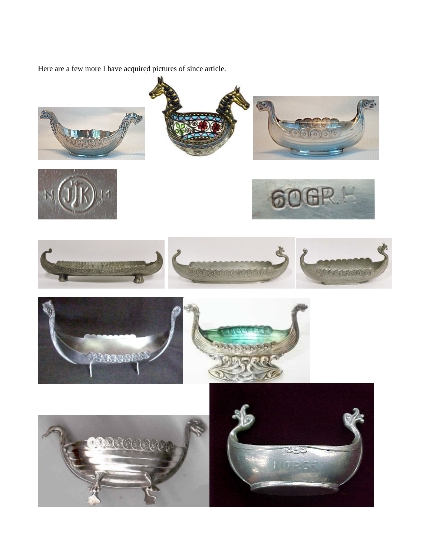Here are a few more I have acquired pictures of since article.